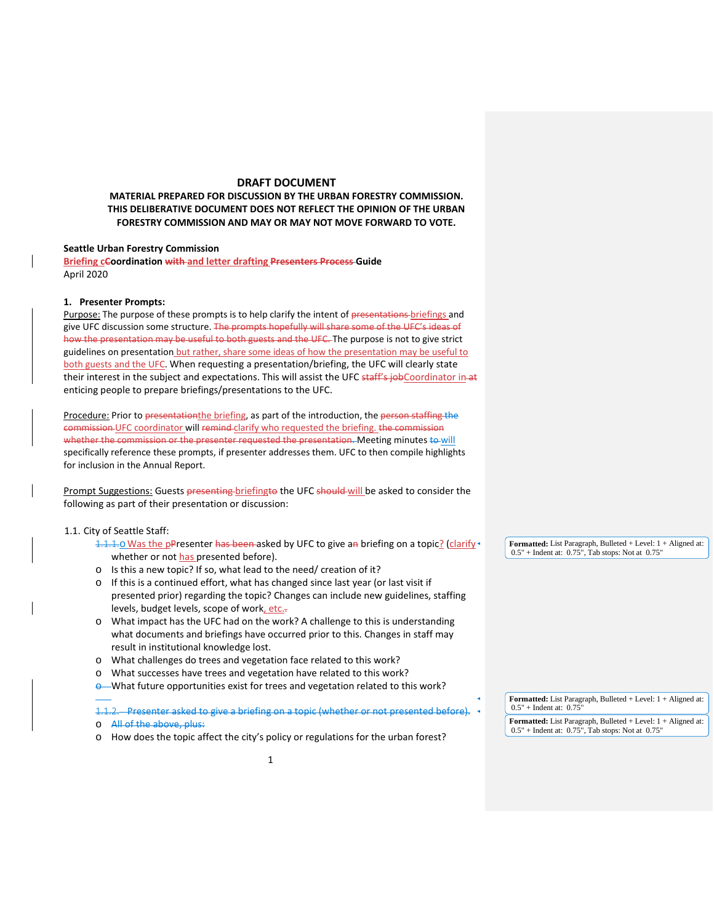## **DRAFT DOCUMENT**

### **MATERIAL PREPARED FOR DISCUSSION BY THE URBAN FORESTRY COMMISSION. THIS DELIBERATIVE DOCUMENT DOES NOT REFLECT THE OPINION OF THE URBAN FORESTRY COMMISSION AND MAY OR MAY NOT MOVE FORWARD TO VOTE.**

#### **Seattle Urban Forestry Commission**

**Briefing cCoordination with and letter drafting Presenters Process Guide** April 2020

#### **1. Presenter Prompts:**

Purpose: The purpose of these prompts is to help clarify the intent of presentations briefings and give UFC discussion some structure. The prompts hopefully will share some of the UFC's ideas of how the presentation may be useful to both guests and the UFC. The purpose is not to give strict guidelines on presentation but rather, share some ideas of how the presentation may be useful to both guests and the UFC. When requesting a presentation/briefing, the UFC will clearly state their interest in the subject and expectations. This will assist the UFC staff's jobCoordinator in-at enticing people to prepare briefings/presentations to the UFC.

Procedure: Prior to presentation the briefing, as part of the introduction, the person staffing the commission UFC coordinator will remind clarify who requested the briefing. the commission whether the commission or the presenter requested the presentation. Meeting minutes to will specifically reference these prompts, if presenter addresses them. UFC to then compile highlights for inclusion in the Annual Report.

Prompt Suggestions: Guests presenting briefingto the UFC should will be asked to consider the following as part of their presentation or discussion:

### 1.1. City of Seattle Staff:

- 1.1.1.0 Was the pPresenter has been asked by UFC to give an briefing on a topic? (clarify whether or not has presented before).
- o Is this a new topic? If so, what lead to the need/ creation of it?
- o If this is a continued effort, what has changed since last year (or last visit if presented prior) regarding the topic? Changes can include new guidelines, staffing levels, budget levels, scope of work, etc.-
- o What impact has the UFC had on the work? A challenge to this is understanding what documents and briefings have occurred prior to this. Changes in staff may result in institutional knowledge lost.
- o What challenges do trees and vegetation face related to this work?
- o What successes have trees and vegetation have related to this work?
- **e** What future opportunities exist for trees and vegetation related to this work?

1.1.2. Presenter asked to give a briefing on a topic (whether or not presented before).

- o All of the above, plus:
- o How does the topic affect the city's policy or regulations for the urban forest?

**Formatted:** List Paragraph, Bulleted + Level: 1 + Aligned at: 0.5" + Indent at: 0.75", Tab stops: Not at 0.75"

**Formatted:** List Paragraph, Bulleted + Level: 1 + Aligned at:  $0.5"$  + Indent at: 0.75

**Formatted:** List Paragraph, Bulleted + Level: 1 + Aligned at: 0.5" + Indent at: 0.75", Tab stops: Not at 0.75"